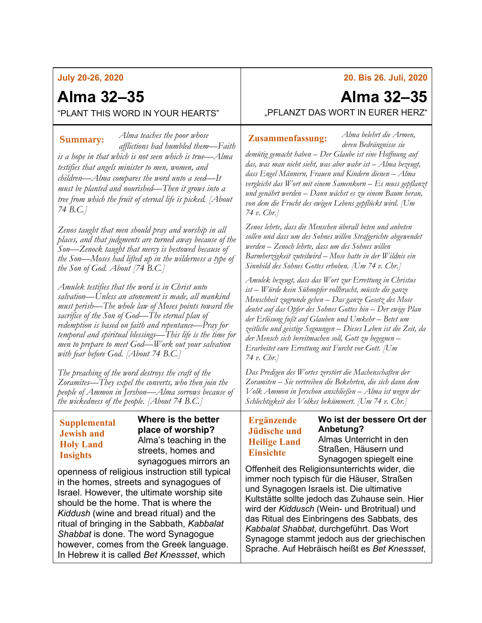# **July 20-26, 2020**

# **Alma 32–35**

"PLANT THIS WORD IN YOUR HEARTS"

*Alma teaches the poor whose afflictions had humbled them—Faith is a hope in that which is not seen which is true—Alma testifies that angels minister to men, women, and children—Alma compares the word unto a seed—It must be planted and nourished—Then it grows into a tree from which the fruit of eternal life is picked. [About 74 B.C.]* **Summary:** *Alma veaches the poor whose* **Zusammenfassung:** 

*Zenos taught that men should pray and worship in all places, and that judgments are turned away because of the Son—Zenock taught that mercy is bestowed because of the Son—Moses had lifted up in the wilderness a type of the Son of God. About [74 B.C.]*

*Amulek testifies that the word is in Christ unto salvation—Unless an atonement is made, all mankind must perish—The whole law of Moses points toward the sacrifice of the Son of God—The eternal plan of redemption is based on faith and repentance—Pray for temporal and spiritual blessings—This life is the time for men to prepare to meet God—Work out your salvation with fear before God. [About 74 B.C.]*

*The preaching of the word destroys the craft of the Zoramites—They expel the converts, who then join the people of Ammon in Jershon—Alma sorrows because of the wickedness of the people. [About 74 B.C.]*

### **Supplemental Jewish and Holy Land Insights**

**Where is the better place of worship?** Alma's teaching in the streets, homes and synagogues mirrors an

openness of religious instruction still typical in the homes, streets and synagogues of Israel. However, the ultimate worship site should be the home. That is where the *Kiddush* (wine and bread ritual) and the ritual of bringing in the Sabbath, *Kabbalat Shabbat* is done. The word Synagogue however, comes from the Greek language. In Hebrew it is called *Bet Knessset*, which

**20. Bis 26. Juli, 2020**

# **Alma 32–35**

*Alma belehrt die Armen,* 

"PFLANZT DAS WORT IN EURER HERZ"

*deren Bedrängnisse sie demütig gemacht haben – Der Glaube ist eine Hoffnung auf das, was man nicht sieht, was aber wahr ist – Alma bezeugt, dass Engel Männern, Frauen und Kindern dienen – Alma vergleicht das Wort mit einem Samenkorn – Es muss gepflanzt und genährt werden – Dann wächst es zu einem Baum heran, von dem die Frucht des ewigen Lebens gepflückt wird. [Um 74 v. Chr.]*

*Zenos lehrte, dass die Menschen überall beten und anbeten sollen und dass um des Sohnes willen Strafgerichte abgewendet werden – Zenoch lehrte, dass um des Sohnes willen Barmherzigkeit zuteilwird – Mose hatte in der Wildnis ein Sinnbild des Sohnes Gottes erhoben. [Um 74 v. Chr.]*

*Amulek bezeugt, dass das Wort zur Errettung in Christus ist – Würde kein Sühnopfer vollbracht, müsste die ganze Menschheit zugrunde gehen – Das ganze Gesetz des Mose deutet auf das Opfer des Sohnes Gottes hin – Der ewige Plan der Erlösung fußt auf Glauben und Umkehr – Betet um zeitliche und geistige Segnungen – Dieses Leben ist die Zeit, da der Mensch sich bereitmachen soll, Gott zu begegnen – Erarbeitet eure Errettung mit Furcht vor Gott. [Um 74 v. Chr.]*

*Das Predigen des Wortes zerstört die Machenschaften der Zoramiten – Sie vertreiben die Bekehrten, die sich dann dem Volk Ammon in Jerschon anschließen – Alma ist wegen der Schlechtigkeit des Volkes bekümmert. [Um 74 v. Chr.]*

# **Ergänzende Jüdische und Heilige Land Einsichte**

# **Wo ist der bessere Ort der Anbetung?**

Almas Unterricht in den Straßen, Häusern und Synagogen spiegelt eine

Offenheit des Religionsunterrichts wider, die immer noch typisch für die Häuser, Straßen und Synagogen Israels ist. Die ultimative Kultstätte sollte jedoch das Zuhause sein. Hier wird der *Kiddusch* (Wein- und Brotritual) und das Ritual des Einbringens des Sabbats, des *Kabbalat Shabbat*, durchgeführt. Das Wort Synagoge stammt jedoch aus der griechischen Sprache. Auf Hebräisch heißt es *Bet Knessset*,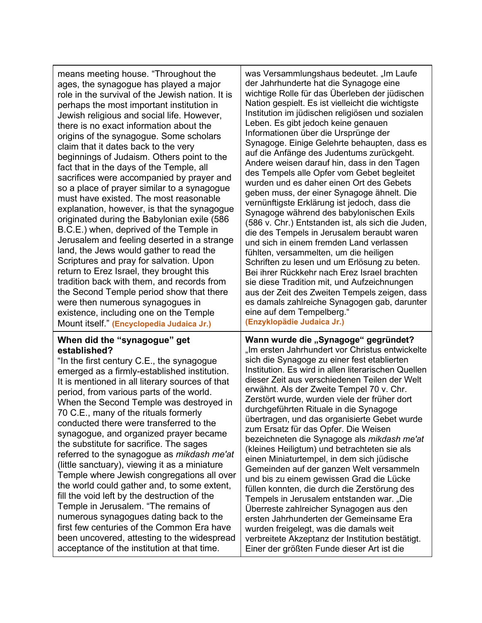| means meeting house. "Throughout the<br>ages, the synagogue has played a major<br>role in the survival of the Jewish nation. It is<br>perhaps the most important institution in<br>Jewish religious and social life. However,<br>there is no exact information about the<br>origins of the synagogue. Some scholars<br>claim that it dates back to the very<br>beginnings of Judaism. Others point to the<br>fact that in the days of the Temple, all<br>sacrifices were accompanied by prayer and<br>so a place of prayer similar to a synagogue<br>must have existed. The most reasonable<br>explanation, however, is that the synagogue<br>originated during the Babylonian exile (586<br>B.C.E.) when, deprived of the Temple in<br>Jerusalem and feeling deserted in a strange<br>land, the Jews would gather to read the<br>Scriptures and pray for salvation. Upon<br>return to Erez Israel, they brought this<br>tradition back with them, and records from<br>the Second Temple period show that there<br>were then numerous synagogues in<br>existence, including one on the Temple<br>Mount itself." (Encyclopedia Judaica Jr.) | was Versammlungshaus bedeutet. "Im Laufe<br>der Jahrhunderte hat die Synagoge eine<br>wichtige Rolle für das Überleben der jüdischen<br>Nation gespielt. Es ist vielleicht die wichtigste<br>Institution im jüdischen religiösen und sozialen<br>Leben. Es gibt jedoch keine genauen<br>Informationen über die Ursprünge der<br>Synagoge. Einige Gelehrte behaupten, dass es<br>auf die Anfänge des Judentums zurückgeht.<br>Andere weisen darauf hin, dass in den Tagen<br>des Tempels alle Opfer vom Gebet begleitet<br>wurden und es daher einen Ort des Gebets<br>geben muss, der einer Synagoge ähnelt. Die<br>vernünftigste Erklärung ist jedoch, dass die<br>Synagoge während des babylonischen Exils<br>(586 v. Chr.) Entstanden ist, als sich die Juden,<br>die des Tempels in Jerusalem beraubt waren<br>und sich in einem fremden Land verlassen<br>fühlten, versammelten, um die heiligen<br>Schriften zu lesen und um Erlösung zu beten.<br>Bei ihrer Rückkehr nach Erez Israel brachten<br>sie diese Tradition mit, und Aufzeichnungen<br>aus der Zeit des Zweiten Tempels zeigen, dass<br>es damals zahlreiche Synagogen gab, darunter<br>eine auf dem Tempelberg."<br>(Enzyklopädie Judaica Jr.) |
|--------------------------------------------------------------------------------------------------------------------------------------------------------------------------------------------------------------------------------------------------------------------------------------------------------------------------------------------------------------------------------------------------------------------------------------------------------------------------------------------------------------------------------------------------------------------------------------------------------------------------------------------------------------------------------------------------------------------------------------------------------------------------------------------------------------------------------------------------------------------------------------------------------------------------------------------------------------------------------------------------------------------------------------------------------------------------------------------------------------------------------------------|------------------------------------------------------------------------------------------------------------------------------------------------------------------------------------------------------------------------------------------------------------------------------------------------------------------------------------------------------------------------------------------------------------------------------------------------------------------------------------------------------------------------------------------------------------------------------------------------------------------------------------------------------------------------------------------------------------------------------------------------------------------------------------------------------------------------------------------------------------------------------------------------------------------------------------------------------------------------------------------------------------------------------------------------------------------------------------------------------------------------------------------------------------------------------------------------------------------|
| When did the "synagogue" get<br>established?<br>"In the first century C.E., the synagogue<br>emerged as a firmly-established institution.<br>It is mentioned in all literary sources of that<br>period, from various parts of the world.<br>When the Second Temple was destroyed in<br>70 C.E., many of the rituals formerly<br>conducted there were transferred to the<br>synagogue, and organized prayer became<br>the substitute for sacrifice. The sages<br>referred to the synagogue as <i>mikdash me'at</i><br>(little sanctuary), viewing it as a miniature<br>Temple where Jewish congregations all over<br>the world could gather and, to some extent,<br>fill the void left by the destruction of the<br>Temple in Jerusalem. "The remains of<br>numerous synagogues dating back to the<br>first few centuries of the Common Era have<br>been uncovered, attesting to the widespread<br>acceptance of the institution at that time.                                                                                                                                                                                              | Wann wurde die "Synagoge" gegründet?<br>"Im ersten Jahrhundert vor Christus entwickelte<br>sich die Synagoge zu einer fest etablierten<br>Institution. Es wird in allen literarischen Quellen<br>dieser Zeit aus verschiedenen Teilen der Welt<br>erwähnt. Als der Zweite Tempel 70 v. Chr.<br>Zerstört wurde, wurden viele der früher dort<br>durchgeführten Rituale in die Synagoge<br>übertragen, und das organisierte Gebet wurde<br>zum Ersatz für das Opfer. Die Weisen<br>bezeichneten die Synagoge als mikdash me'at<br>(kleines Heiligtum) und betrachteten sie als<br>einen Miniaturtempel, in dem sich jüdische<br>Gemeinden auf der ganzen Welt versammeln<br>und bis zu einem gewissen Grad die Lücke<br>füllen konnten, die durch die Zerstörung des<br>Tempels in Jerusalem entstanden war. "Die<br>Überreste zahlreicher Synagogen aus den<br>ersten Jahrhunderten der Gemeinsame Era<br>wurden freigelegt, was die damals weit<br>verbreitete Akzeptanz der Institution bestätigt.<br>Einer der größten Funde dieser Art ist die                                                                                                                                                                |

⊤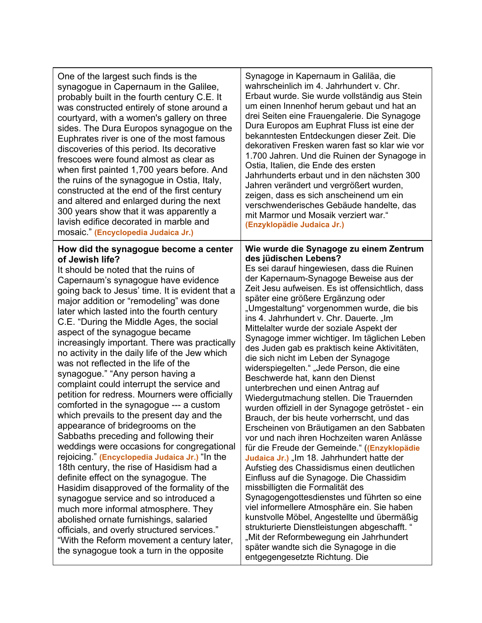| One of the largest such finds is the                                                                                                                                                                                                                                                                                                                                                                                                                                                                                                                                                                                                                                                                                                                                                                                                                                                                                                                                                                                                                                                                                                                                                                                                                                                                                          | Synagoge in Kapernaum in Galiläa, die                                                                                                                                                                                                                                                                                                                                                                                                                                                                                                                                                                                                                                                                                                                                                                                                                                                                                                                                                                                                                                                                                                                                                                                                                                                                                                                                                                                                           |
|-------------------------------------------------------------------------------------------------------------------------------------------------------------------------------------------------------------------------------------------------------------------------------------------------------------------------------------------------------------------------------------------------------------------------------------------------------------------------------------------------------------------------------------------------------------------------------------------------------------------------------------------------------------------------------------------------------------------------------------------------------------------------------------------------------------------------------------------------------------------------------------------------------------------------------------------------------------------------------------------------------------------------------------------------------------------------------------------------------------------------------------------------------------------------------------------------------------------------------------------------------------------------------------------------------------------------------|-------------------------------------------------------------------------------------------------------------------------------------------------------------------------------------------------------------------------------------------------------------------------------------------------------------------------------------------------------------------------------------------------------------------------------------------------------------------------------------------------------------------------------------------------------------------------------------------------------------------------------------------------------------------------------------------------------------------------------------------------------------------------------------------------------------------------------------------------------------------------------------------------------------------------------------------------------------------------------------------------------------------------------------------------------------------------------------------------------------------------------------------------------------------------------------------------------------------------------------------------------------------------------------------------------------------------------------------------------------------------------------------------------------------------------------------------|
| synagogue in Capernaum in the Galilee,                                                                                                                                                                                                                                                                                                                                                                                                                                                                                                                                                                                                                                                                                                                                                                                                                                                                                                                                                                                                                                                                                                                                                                                                                                                                                        | wahrscheinlich im 4. Jahrhundert v. Chr.                                                                                                                                                                                                                                                                                                                                                                                                                                                                                                                                                                                                                                                                                                                                                                                                                                                                                                                                                                                                                                                                                                                                                                                                                                                                                                                                                                                                        |
| probably built in the fourth century C.E. It                                                                                                                                                                                                                                                                                                                                                                                                                                                                                                                                                                                                                                                                                                                                                                                                                                                                                                                                                                                                                                                                                                                                                                                                                                                                                  | Erbaut wurde. Sie wurde vollständig aus Stein                                                                                                                                                                                                                                                                                                                                                                                                                                                                                                                                                                                                                                                                                                                                                                                                                                                                                                                                                                                                                                                                                                                                                                                                                                                                                                                                                                                                   |
| was constructed entirely of stone around a                                                                                                                                                                                                                                                                                                                                                                                                                                                                                                                                                                                                                                                                                                                                                                                                                                                                                                                                                                                                                                                                                                                                                                                                                                                                                    | um einen Innenhof herum gebaut und hat an                                                                                                                                                                                                                                                                                                                                                                                                                                                                                                                                                                                                                                                                                                                                                                                                                                                                                                                                                                                                                                                                                                                                                                                                                                                                                                                                                                                                       |
| courtyard, with a women's gallery on three                                                                                                                                                                                                                                                                                                                                                                                                                                                                                                                                                                                                                                                                                                                                                                                                                                                                                                                                                                                                                                                                                                                                                                                                                                                                                    | drei Seiten eine Frauengalerie. Die Synagoge                                                                                                                                                                                                                                                                                                                                                                                                                                                                                                                                                                                                                                                                                                                                                                                                                                                                                                                                                                                                                                                                                                                                                                                                                                                                                                                                                                                                    |
| sides. The Dura Europos synagogue on the                                                                                                                                                                                                                                                                                                                                                                                                                                                                                                                                                                                                                                                                                                                                                                                                                                                                                                                                                                                                                                                                                                                                                                                                                                                                                      | Dura Europos am Euphrat Fluss ist eine der                                                                                                                                                                                                                                                                                                                                                                                                                                                                                                                                                                                                                                                                                                                                                                                                                                                                                                                                                                                                                                                                                                                                                                                                                                                                                                                                                                                                      |
| Euphrates river is one of the most famous                                                                                                                                                                                                                                                                                                                                                                                                                                                                                                                                                                                                                                                                                                                                                                                                                                                                                                                                                                                                                                                                                                                                                                                                                                                                                     | bekanntesten Entdeckungen dieser Zeit. Die                                                                                                                                                                                                                                                                                                                                                                                                                                                                                                                                                                                                                                                                                                                                                                                                                                                                                                                                                                                                                                                                                                                                                                                                                                                                                                                                                                                                      |
| discoveries of this period. Its decorative                                                                                                                                                                                                                                                                                                                                                                                                                                                                                                                                                                                                                                                                                                                                                                                                                                                                                                                                                                                                                                                                                                                                                                                                                                                                                    | dekorativen Fresken waren fast so klar wie vor                                                                                                                                                                                                                                                                                                                                                                                                                                                                                                                                                                                                                                                                                                                                                                                                                                                                                                                                                                                                                                                                                                                                                                                                                                                                                                                                                                                                  |
| frescoes were found almost as clear as                                                                                                                                                                                                                                                                                                                                                                                                                                                                                                                                                                                                                                                                                                                                                                                                                                                                                                                                                                                                                                                                                                                                                                                                                                                                                        | 1.700 Jahren. Und die Ruinen der Synagoge in                                                                                                                                                                                                                                                                                                                                                                                                                                                                                                                                                                                                                                                                                                                                                                                                                                                                                                                                                                                                                                                                                                                                                                                                                                                                                                                                                                                                    |
| when first painted 1,700 years before. And                                                                                                                                                                                                                                                                                                                                                                                                                                                                                                                                                                                                                                                                                                                                                                                                                                                                                                                                                                                                                                                                                                                                                                                                                                                                                    | Ostia, Italien, die Ende des ersten                                                                                                                                                                                                                                                                                                                                                                                                                                                                                                                                                                                                                                                                                                                                                                                                                                                                                                                                                                                                                                                                                                                                                                                                                                                                                                                                                                                                             |
| the ruins of the synagogue in Ostia, Italy,                                                                                                                                                                                                                                                                                                                                                                                                                                                                                                                                                                                                                                                                                                                                                                                                                                                                                                                                                                                                                                                                                                                                                                                                                                                                                   | Jahrhunderts erbaut und in den nächsten 300                                                                                                                                                                                                                                                                                                                                                                                                                                                                                                                                                                                                                                                                                                                                                                                                                                                                                                                                                                                                                                                                                                                                                                                                                                                                                                                                                                                                     |
| constructed at the end of the first century                                                                                                                                                                                                                                                                                                                                                                                                                                                                                                                                                                                                                                                                                                                                                                                                                                                                                                                                                                                                                                                                                                                                                                                                                                                                                   | Jahren verändert und vergrößert wurden,                                                                                                                                                                                                                                                                                                                                                                                                                                                                                                                                                                                                                                                                                                                                                                                                                                                                                                                                                                                                                                                                                                                                                                                                                                                                                                                                                                                                         |
| and altered and enlarged during the next                                                                                                                                                                                                                                                                                                                                                                                                                                                                                                                                                                                                                                                                                                                                                                                                                                                                                                                                                                                                                                                                                                                                                                                                                                                                                      | zeigen, dass es sich anscheinend um ein                                                                                                                                                                                                                                                                                                                                                                                                                                                                                                                                                                                                                                                                                                                                                                                                                                                                                                                                                                                                                                                                                                                                                                                                                                                                                                                                                                                                         |
| 300 years show that it was apparently a                                                                                                                                                                                                                                                                                                                                                                                                                                                                                                                                                                                                                                                                                                                                                                                                                                                                                                                                                                                                                                                                                                                                                                                                                                                                                       | verschwenderisches Gebäude handelte, das                                                                                                                                                                                                                                                                                                                                                                                                                                                                                                                                                                                                                                                                                                                                                                                                                                                                                                                                                                                                                                                                                                                                                                                                                                                                                                                                                                                                        |
| lavish edifice decorated in marble and                                                                                                                                                                                                                                                                                                                                                                                                                                                                                                                                                                                                                                                                                                                                                                                                                                                                                                                                                                                                                                                                                                                                                                                                                                                                                        | mit Marmor und Mosaik verziert war."                                                                                                                                                                                                                                                                                                                                                                                                                                                                                                                                                                                                                                                                                                                                                                                                                                                                                                                                                                                                                                                                                                                                                                                                                                                                                                                                                                                                            |
| mosaic." (Encyclopedia Judaica Jr.)                                                                                                                                                                                                                                                                                                                                                                                                                                                                                                                                                                                                                                                                                                                                                                                                                                                                                                                                                                                                                                                                                                                                                                                                                                                                                           | (Enzyklopädie Judaica Jr.)                                                                                                                                                                                                                                                                                                                                                                                                                                                                                                                                                                                                                                                                                                                                                                                                                                                                                                                                                                                                                                                                                                                                                                                                                                                                                                                                                                                                                      |
| How did the synagogue become a center<br>of Jewish life?<br>It should be noted that the ruins of<br>Capernaum's synagogue have evidence<br>going back to Jesus' time. It is evident that a<br>major addition or "remodeling" was done<br>later which lasted into the fourth century<br>C.E. "During the Middle Ages, the social<br>aspect of the synagogue became<br>increasingly important. There was practically<br>no activity in the daily life of the Jew which<br>was not reflected in the life of the<br>synagogue." "Any person having a<br>complaint could interrupt the service and<br>petition for redress. Mourners were officially<br>comforted in the synagogue --- a custom<br>which prevails to the present day and the<br>appearance of bridegrooms on the<br>Sabbaths preceding and following their<br>weddings were occasions for congregational<br>rejoicing." (Encyclopedia Judaica Jr.) "In the<br>18th century, the rise of Hasidism had a<br>definite effect on the synagogue. The<br>Hasidim disapproved of the formality of the<br>synagogue service and so introduced a<br>much more informal atmosphere. They<br>abolished ornate furnishings, salaried<br>officials, and overly structured services."<br>"With the Reform movement a century later,<br>the synagogue took a turn in the opposite | Wie wurde die Synagoge zu einem Zentrum<br>des jüdischen Lebens?<br>Es sei darauf hingewiesen, dass die Ruinen<br>der Kapernaum-Synagoge Beweise aus der<br>Zeit Jesu aufweisen. Es ist offensichtlich, dass<br>später eine größere Ergänzung oder<br>"Umgestaltung" vorgenommen wurde, die bis<br>ins 4. Jahrhundert v. Chr. Dauerte. "Im<br>Mittelalter wurde der soziale Aspekt der<br>Synagoge immer wichtiger. Im täglichen Leben<br>des Juden gab es praktisch keine Aktivitäten,<br>die sich nicht im Leben der Synagoge<br>widerspiegelten." "Jede Person, die eine<br>Beschwerde hat, kann den Dienst<br>unterbrechen und einen Antrag auf<br>Wiedergutmachung stellen. Die Trauernden<br>wurden offiziell in der Synagoge getröstet - ein<br>Brauch, der bis heute vorherrscht, und das<br>Erscheinen von Bräutigamen an den Sabbaten<br>vor und nach ihren Hochzeiten waren Anlässe<br>für die Freude der Gemeinde." ((Enzyklopädie<br>Judaica Jr.) "Im 18. Jahrhundert hatte der<br>Aufstieg des Chassidismus einen deutlichen<br>Einfluss auf die Synagoge. Die Chassidim<br>missbilligten die Formalität des<br>Synagogengottesdienstes und führten so eine<br>viel informellere Atmosphäre ein. Sie haben<br>kunstvolle Möbel, Angestellte und übermäßig<br>strukturierte Dienstleistungen abgeschafft. "<br>"Mit der Reformbewegung ein Jahrhundert<br>später wandte sich die Synagoge in die<br>entgegengesetzte Richtung. Die |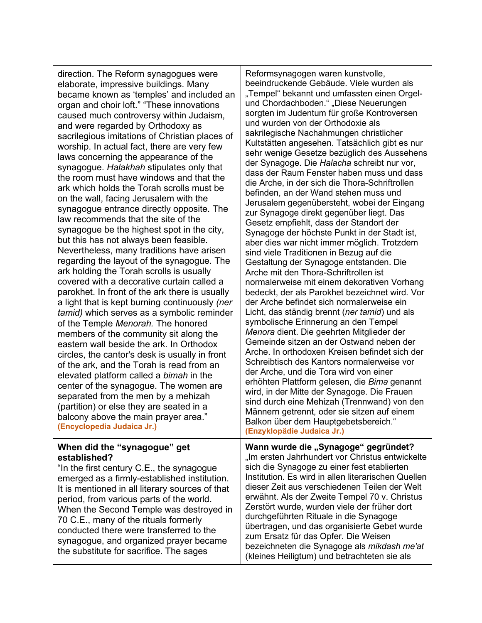direction. The Reform synagogues were elaborate, impressive buildings. Many became known as 'temples' and included an organ and choir loft." "These innovations caused much controversy within Judaism, and were regarded by Orthodoxy as sacrilegious imitations of Christian places of worship. In actual fact, there are very few laws concerning the appearance of the synagogue. *Halakhah* stipulates only that the room must have windows and that the ark which holds the Torah scrolls must be on the wall, facing Jerusalem with the synagogue entrance directly opposite. The law recommends that the site of the synagogue be the highest spot in the city, but this has not always been feasible. Nevertheless, many traditions have arisen regarding the layout of the synagogue. The ark holding the Torah scrolls is usually covered with a decorative curtain called a parokhet. In front of the ark there is usually a light that is kept burning continuously *(ner tamid)* which serves as a symbolic reminder of the Temple *Menorah.* The honored members of the community sit along the eastern wall beside the ark. In Orthodox circles, the cantor's desk is usually in front of the ark, and the Torah is read from an elevated platform called a *bimah* in the center of the synagogue. The women are separated from the men by a mehizah (partition) or else they are seated in a balcony above the main prayer area." **(Encyclopedia Judaica Jr.)**

### **When did the "synagogue" get established?**

"In the first century C.E., the synagogue emerged as a firmly-established institution. It is mentioned in all literary sources of that period, from various parts of the world. When the Second Temple was destroyed in 70 C.E., many of the rituals formerly conducted there were transferred to the synagogue, and organized prayer became the substitute for sacrifice. The sages

Reformsynagogen waren kunstvolle, beeindruckende Gebäude. Viele wurden als "Tempel" bekannt und umfassten einen Orgelund Chordachboden." "Diese Neuerungen sorgten im Judentum für große Kontroversen und wurden von der Orthodoxie als sakrilegische Nachahmungen christlicher Kultstätten angesehen. Tatsächlich gibt es nur sehr wenige Gesetze bezüglich des Aussehens der Synagoge. Die *Halacha* schreibt nur vor, dass der Raum Fenster haben muss und dass die Arche, in der sich die Thora-Schriftrollen befinden, an der Wand stehen muss und Jerusalem gegenübersteht, wobei der Eingang zur Synagoge direkt gegenüber liegt. Das Gesetz empfiehlt, dass der Standort der Synagoge der höchste Punkt in der Stadt ist, aber dies war nicht immer möglich. Trotzdem sind viele Traditionen in Bezug auf die Gestaltung der Synagoge entstanden. Die Arche mit den Thora-Schriftrollen ist normalerweise mit einem dekorativen Vorhang bedeckt, der als Parokhet bezeichnet wird. Vor der Arche befindet sich normalerweise ein Licht, das ständig brennt (*ner tamid*) und als symbolische Erinnerung an den Tempel *Menora* dient. Die geehrten Mitglieder der Gemeinde sitzen an der Ostwand neben der Arche. In orthodoxen Kreisen befindet sich der Schreibtisch des Kantors normalerweise vor der Arche, und die Tora wird von einer erhöhten Plattform gelesen, die *Bima* genannt wird, in der Mitte der Synagoge. Die Frauen sind durch eine Mehizah (Trennwand) von den Männern getrennt, oder sie sitzen auf einem Balkon über dem Hauptgebetsbereich." **(Enzyklopädie Judaica Jr.)**

Wann wurde die "Synagoge" gegründet? "Im ersten Jahrhundert vor Christus entwickelte sich die Synagoge zu einer fest etablierten Institution. Es wird in allen literarischen Quellen dieser Zeit aus verschiedenen Teilen der Welt erwähnt. Als der Zweite Tempel 70 v. Christus Zerstört wurde, wurden viele der früher dort durchgeführten Rituale in die Synagoge übertragen, und das organisierte Gebet wurde zum Ersatz für das Opfer. Die Weisen bezeichneten die Synagoge als *mikdash me'at* (kleines Heiligtum) und betrachteten sie als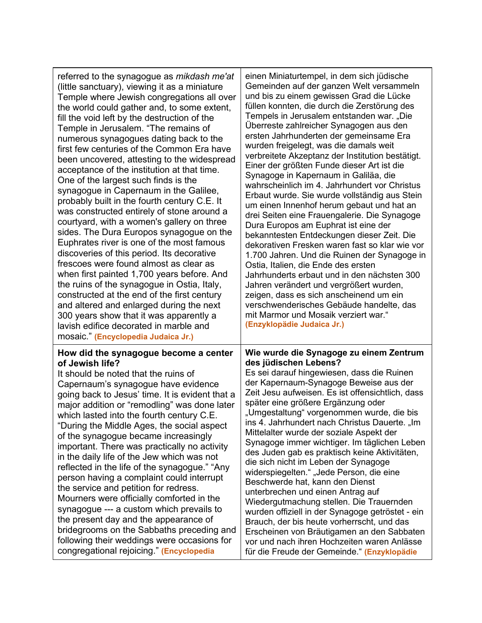| referred to the synagogue as <i>mikdash me'at</i>                                                                                                                                                                                                                                                                                                                                                                                                                                                                                                                                                                                                                                                                                                                                                                                                                                            | einen Miniaturtempel, in dem sich jüdische                                                                                                                                                                                                                                                                                                                                                                                                                                                                                                                                                                                                                                                                                                                                                                                                                                                                                                          |
|----------------------------------------------------------------------------------------------------------------------------------------------------------------------------------------------------------------------------------------------------------------------------------------------------------------------------------------------------------------------------------------------------------------------------------------------------------------------------------------------------------------------------------------------------------------------------------------------------------------------------------------------------------------------------------------------------------------------------------------------------------------------------------------------------------------------------------------------------------------------------------------------|-----------------------------------------------------------------------------------------------------------------------------------------------------------------------------------------------------------------------------------------------------------------------------------------------------------------------------------------------------------------------------------------------------------------------------------------------------------------------------------------------------------------------------------------------------------------------------------------------------------------------------------------------------------------------------------------------------------------------------------------------------------------------------------------------------------------------------------------------------------------------------------------------------------------------------------------------------|
| (little sanctuary), viewing it as a miniature                                                                                                                                                                                                                                                                                                                                                                                                                                                                                                                                                                                                                                                                                                                                                                                                                                                | Gemeinden auf der ganzen Welt versammeln                                                                                                                                                                                                                                                                                                                                                                                                                                                                                                                                                                                                                                                                                                                                                                                                                                                                                                            |
| Temple where Jewish congregations all over                                                                                                                                                                                                                                                                                                                                                                                                                                                                                                                                                                                                                                                                                                                                                                                                                                                   | und bis zu einem gewissen Grad die Lücke                                                                                                                                                                                                                                                                                                                                                                                                                                                                                                                                                                                                                                                                                                                                                                                                                                                                                                            |
| the world could gather and, to some extent,                                                                                                                                                                                                                                                                                                                                                                                                                                                                                                                                                                                                                                                                                                                                                                                                                                                  | füllen konnten, die durch die Zerstörung des                                                                                                                                                                                                                                                                                                                                                                                                                                                                                                                                                                                                                                                                                                                                                                                                                                                                                                        |
| fill the void left by the destruction of the                                                                                                                                                                                                                                                                                                                                                                                                                                                                                                                                                                                                                                                                                                                                                                                                                                                 | Tempels in Jerusalem entstanden war. "Die                                                                                                                                                                                                                                                                                                                                                                                                                                                                                                                                                                                                                                                                                                                                                                                                                                                                                                           |
| Temple in Jerusalem. "The remains of                                                                                                                                                                                                                                                                                                                                                                                                                                                                                                                                                                                                                                                                                                                                                                                                                                                         | Überreste zahlreicher Synagogen aus den                                                                                                                                                                                                                                                                                                                                                                                                                                                                                                                                                                                                                                                                                                                                                                                                                                                                                                             |
| numerous synagogues dating back to the                                                                                                                                                                                                                                                                                                                                                                                                                                                                                                                                                                                                                                                                                                                                                                                                                                                       | ersten Jahrhunderten der gemeinsame Era                                                                                                                                                                                                                                                                                                                                                                                                                                                                                                                                                                                                                                                                                                                                                                                                                                                                                                             |
| first few centuries of the Common Era have                                                                                                                                                                                                                                                                                                                                                                                                                                                                                                                                                                                                                                                                                                                                                                                                                                                   | wurden freigelegt, was die damals weit                                                                                                                                                                                                                                                                                                                                                                                                                                                                                                                                                                                                                                                                                                                                                                                                                                                                                                              |
| been uncovered, attesting to the widespread                                                                                                                                                                                                                                                                                                                                                                                                                                                                                                                                                                                                                                                                                                                                                                                                                                                  | verbreitete Akzeptanz der Institution bestätigt.                                                                                                                                                                                                                                                                                                                                                                                                                                                                                                                                                                                                                                                                                                                                                                                                                                                                                                    |
| acceptance of the institution at that time.                                                                                                                                                                                                                                                                                                                                                                                                                                                                                                                                                                                                                                                                                                                                                                                                                                                  | Einer der größten Funde dieser Art ist die                                                                                                                                                                                                                                                                                                                                                                                                                                                                                                                                                                                                                                                                                                                                                                                                                                                                                                          |
| One of the largest such finds is the                                                                                                                                                                                                                                                                                                                                                                                                                                                                                                                                                                                                                                                                                                                                                                                                                                                         | Synagoge in Kapernaum in Galiläa, die                                                                                                                                                                                                                                                                                                                                                                                                                                                                                                                                                                                                                                                                                                                                                                                                                                                                                                               |
| synagogue in Capernaum in the Galilee,                                                                                                                                                                                                                                                                                                                                                                                                                                                                                                                                                                                                                                                                                                                                                                                                                                                       | wahrscheinlich im 4. Jahrhundert vor Christus                                                                                                                                                                                                                                                                                                                                                                                                                                                                                                                                                                                                                                                                                                                                                                                                                                                                                                       |
| probably built in the fourth century C.E. It                                                                                                                                                                                                                                                                                                                                                                                                                                                                                                                                                                                                                                                                                                                                                                                                                                                 | Erbaut wurde. Sie wurde vollständig aus Stein                                                                                                                                                                                                                                                                                                                                                                                                                                                                                                                                                                                                                                                                                                                                                                                                                                                                                                       |
| was constructed entirely of stone around a                                                                                                                                                                                                                                                                                                                                                                                                                                                                                                                                                                                                                                                                                                                                                                                                                                                   | um einen Innenhof herum gebaut und hat an                                                                                                                                                                                                                                                                                                                                                                                                                                                                                                                                                                                                                                                                                                                                                                                                                                                                                                           |
| courtyard, with a women's gallery on three                                                                                                                                                                                                                                                                                                                                                                                                                                                                                                                                                                                                                                                                                                                                                                                                                                                   | drei Seiten eine Frauengalerie. Die Synagoge                                                                                                                                                                                                                                                                                                                                                                                                                                                                                                                                                                                                                                                                                                                                                                                                                                                                                                        |
| sides. The Dura Europos synagogue on the                                                                                                                                                                                                                                                                                                                                                                                                                                                                                                                                                                                                                                                                                                                                                                                                                                                     | Dura Europos am Euphrat ist eine der                                                                                                                                                                                                                                                                                                                                                                                                                                                                                                                                                                                                                                                                                                                                                                                                                                                                                                                |
| Euphrates river is one of the most famous                                                                                                                                                                                                                                                                                                                                                                                                                                                                                                                                                                                                                                                                                                                                                                                                                                                    | bekanntesten Entdeckungen dieser Zeit. Die                                                                                                                                                                                                                                                                                                                                                                                                                                                                                                                                                                                                                                                                                                                                                                                                                                                                                                          |
| discoveries of this period. Its decorative                                                                                                                                                                                                                                                                                                                                                                                                                                                                                                                                                                                                                                                                                                                                                                                                                                                   | dekorativen Fresken waren fast so klar wie vor                                                                                                                                                                                                                                                                                                                                                                                                                                                                                                                                                                                                                                                                                                                                                                                                                                                                                                      |
| frescoes were found almost as clear as                                                                                                                                                                                                                                                                                                                                                                                                                                                                                                                                                                                                                                                                                                                                                                                                                                                       | 1.700 Jahren. Und die Ruinen der Synagoge in                                                                                                                                                                                                                                                                                                                                                                                                                                                                                                                                                                                                                                                                                                                                                                                                                                                                                                        |
| when first painted 1,700 years before. And                                                                                                                                                                                                                                                                                                                                                                                                                                                                                                                                                                                                                                                                                                                                                                                                                                                   | Ostia, Italien, die Ende des ersten                                                                                                                                                                                                                                                                                                                                                                                                                                                                                                                                                                                                                                                                                                                                                                                                                                                                                                                 |
| the ruins of the synagogue in Ostia, Italy,                                                                                                                                                                                                                                                                                                                                                                                                                                                                                                                                                                                                                                                                                                                                                                                                                                                  | Jahrhunderts erbaut und in den nächsten 300                                                                                                                                                                                                                                                                                                                                                                                                                                                                                                                                                                                                                                                                                                                                                                                                                                                                                                         |
| constructed at the end of the first century                                                                                                                                                                                                                                                                                                                                                                                                                                                                                                                                                                                                                                                                                                                                                                                                                                                  | Jahren verändert und vergrößert wurden,                                                                                                                                                                                                                                                                                                                                                                                                                                                                                                                                                                                                                                                                                                                                                                                                                                                                                                             |
| and altered and enlarged during the next                                                                                                                                                                                                                                                                                                                                                                                                                                                                                                                                                                                                                                                                                                                                                                                                                                                     | zeigen, dass es sich anscheinend um ein                                                                                                                                                                                                                                                                                                                                                                                                                                                                                                                                                                                                                                                                                                                                                                                                                                                                                                             |
| 300 years show that it was apparently a                                                                                                                                                                                                                                                                                                                                                                                                                                                                                                                                                                                                                                                                                                                                                                                                                                                      | verschwenderisches Gebäude handelte, das                                                                                                                                                                                                                                                                                                                                                                                                                                                                                                                                                                                                                                                                                                                                                                                                                                                                                                            |
| lavish edifice decorated in marble and                                                                                                                                                                                                                                                                                                                                                                                                                                                                                                                                                                                                                                                                                                                                                                                                                                                       | mit Marmor und Mosaik verziert war."                                                                                                                                                                                                                                                                                                                                                                                                                                                                                                                                                                                                                                                                                                                                                                                                                                                                                                                |
| mosaic." (Encyclopedia Judaica Jr.)                                                                                                                                                                                                                                                                                                                                                                                                                                                                                                                                                                                                                                                                                                                                                                                                                                                          | (Enzyklopädie Judaica Jr.)                                                                                                                                                                                                                                                                                                                                                                                                                                                                                                                                                                                                                                                                                                                                                                                                                                                                                                                          |
| How did the synagogue become a center<br>of Jewish life?<br>It should be noted that the ruins of<br>Capernaum's synagogue have evidence<br>going back to Jesus' time. It is evident that a<br>major addition or "remodling" was done later<br>which lasted into the fourth century C.E.<br>"During the Middle Ages, the social aspect<br>of the synagogue became increasingly<br>important. There was practically no activity<br>in the daily life of the Jew which was not<br>reflected in the life of the synagogue." "Any<br>person having a complaint could interrupt<br>the service and petition for redress.<br>Mourners were officially comforted in the<br>synagogue --- a custom which prevails to<br>the present day and the appearance of<br>bridegrooms on the Sabbaths preceding and<br>following their weddings were occasions for<br>congregational rejoicing." (Encyclopedia | Wie wurde die Synagoge zu einem Zentrum<br>des jüdischen Lebens?<br>Es sei darauf hingewiesen, dass die Ruinen<br>der Kapernaum-Synagoge Beweise aus der<br>Zeit Jesu aufweisen. Es ist offensichtlich, dass<br>später eine größere Ergänzung oder<br>"Umgestaltung" vorgenommen wurde, die bis<br>ins 4. Jahrhundert nach Christus Dauerte. "Im<br>Mittelalter wurde der soziale Aspekt der<br>Synagoge immer wichtiger. Im täglichen Leben<br>des Juden gab es praktisch keine Aktivitäten,<br>die sich nicht im Leben der Synagoge<br>widerspiegelten." "Jede Person, die eine<br>Beschwerde hat, kann den Dienst<br>unterbrechen und einen Antrag auf<br>Wiedergutmachung stellen. Die Trauernden<br>wurden offiziell in der Synagoge getröstet - ein<br>Brauch, der bis heute vorherrscht, und das<br>Erscheinen von Bräutigamen an den Sabbaten<br>vor und nach ihren Hochzeiten waren Anlässe<br>für die Freude der Gemeinde." (Enzyklopädie |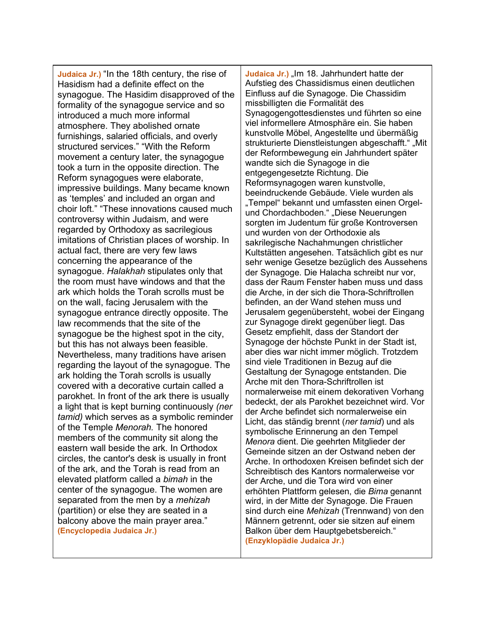**Judaica Jr.)** "In the 18th century, the rise of Hasidism had a definite effect on the synagogue. The Hasidim disapproved of the formality of the synagogue service and so introduced a much more informal atmosphere. They abolished ornate furnishings, salaried officials, and overly structured services." "With the Reform movement a century later, the synagogue took a turn in the opposite direction. The Reform synagogues were elaborate, impressive buildings. Many became known as 'temples' and included an organ and choir loft." "These innovations caused much controversy within Judaism, and were regarded by Orthodoxy as sacrilegious imitations of Christian places of worship. In actual fact, there are very few laws concerning the appearance of the synagogue. *Halakhah* stipulates only that the room must have windows and that the ark which holds the Torah scrolls must be on the wall, facing Jerusalem with the synagogue entrance directly opposite. The law recommends that the site of the synagogue be the highest spot in the city, but this has not always been feasible. Nevertheless, many traditions have arisen regarding the layout of the synagogue. The ark holding the Torah scrolls is usually covered with a decorative curtain called a parokhet. In front of the ark there is usually a light that is kept burning continuously *(ner tamid)* which serves as a symbolic reminder of the Temple *Menorah.* The honored members of the community sit along the eastern wall beside the ark. In Orthodox circles, the cantor's desk is usually in front of the ark, and the Torah is read from an elevated platform called a *bimah* in the center of the synagogue. The women are separated from the men by a *mehizah* (partition) or else they are seated in a balcony above the main prayer area." **(Encyclopedia Judaica Jr.)**

Judaica Jr.) "Im 18. Jahrhundert hatte der Aufstieg des Chassidismus einen deutlichen Einfluss auf die Synagoge. Die Chassidim missbilligten die Formalität des Synagogengottesdienstes und führten so eine viel informellere Atmosphäre ein. Sie haben kunstvolle Möbel, Angestellte und übermäßig strukturierte Dienstleistungen abgeschafft." "Mit der Reformbewegung ein Jahrhundert später wandte sich die Synagoge in die entgegengesetzte Richtung. Die Reformsynagogen waren kunstvolle, beeindruckende Gebäude. Viele wurden als "Tempel" bekannt und umfassten einen Orgelund Chordachboden." "Diese Neuerungen sorgten im Judentum für große Kontroversen und wurden von der Orthodoxie als sakrilegische Nachahmungen christlicher Kultstätten angesehen. Tatsächlich gibt es nur sehr wenige Gesetze bezüglich des Aussehens der Synagoge. Die Halacha schreibt nur vor, dass der Raum Fenster haben muss und dass die Arche, in der sich die Thora-Schriftrollen befinden, an der Wand stehen muss und Jerusalem gegenübersteht, wobei der Eingang zur Synagoge direkt gegenüber liegt. Das Gesetz empfiehlt, dass der Standort der Synagoge der höchste Punkt in der Stadt ist, aber dies war nicht immer möglich. Trotzdem sind viele Traditionen in Bezug auf die Gestaltung der Synagoge entstanden. Die Arche mit den Thora-Schriftrollen ist normalerweise mit einem dekorativen Vorhang bedeckt, der als Parokhet bezeichnet wird. Vor der Arche befindet sich normalerweise ein Licht, das ständig brennt (*ner tamid*) und als symbolische Erinnerung an den Tempel *Menora* dient. Die geehrten Mitglieder der Gemeinde sitzen an der Ostwand neben der Arche. In orthodoxen Kreisen befindet sich der Schreibtisch des Kantors normalerweise vor der Arche, und die Tora wird von einer erhöhten Plattform gelesen, die *Bima* genannt wird, in der Mitte der Synagoge. Die Frauen sind durch eine *Mehizah* (Trennwand) von den Männern getrennt, oder sie sitzen auf einem Balkon über dem Hauptgebetsbereich." **(Enzyklopädie Judaica Jr.)**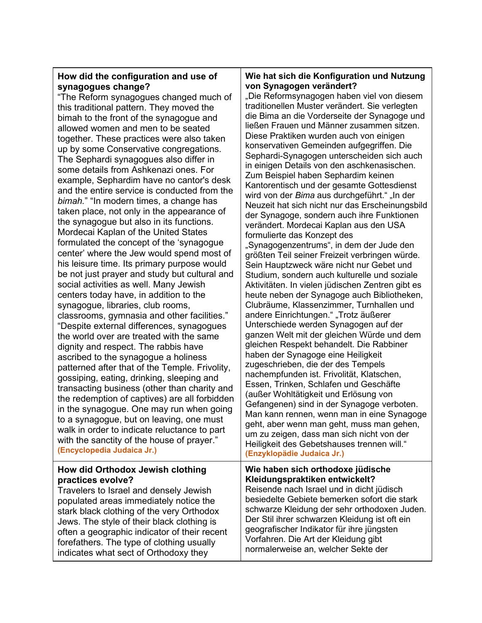# **How did the configuration and use of synagogues change?**

"The Reform synagogues changed much of this traditional pattern. They moved the bimah to the front of the synagogue and allowed women and men to be seated together. These practices were also taken up by some Conservative congregations. The Sephardi synagogues also differ in some details from Ashkenazi ones. For example, Sephardim have no cantor's desk and the entire service is conducted from the *bimah.*" "In modern times, a change has taken place, not only in the appearance of the synagogue but also in its functions. Mordecai Kaplan of the United States formulated the concept of the 'synagogue center' where the Jew would spend most of his leisure time. Its primary purpose would be not just prayer and study but cultural and social activities as well. Many Jewish centers today have, in addition to the synagogue, libraries, club rooms, classrooms, gymnasia and other facilities." "Despite external differences, synagogues the world over are treated with the same dignity and respect. The rabbis have ascribed to the synagogue a holiness patterned after that of the Temple. Frivolity, gossiping, eating, drinking, sleeping and transacting business (other than charity and the redemption of captives) are all forbidden in the synagogue. One may run when going to a synagogue, but on leaving, one must walk in order to indicate reluctance to part with the sanctity of the house of prayer." **(Encyclopedia Judaica Jr.)**

### **How did Orthodox Jewish clothing practices evolve?**

Travelers to Israel and densely Jewish populated areas immediately notice the stark black clothing of the very Orthodox Jews. The style of their black clothing is often a geographic indicator of their recent forefathers. The type of clothing usually indicates what sect of Orthodoxy they

# **Wie hat sich die Konfiguration und Nutzung von Synagogen verändert?**

"Die Reformsynagogen haben viel von diesem traditionellen Muster verändert. Sie verlegten die Bima an die Vorderseite der Synagoge und ließen Frauen und Männer zusammen sitzen. Diese Praktiken wurden auch von einigen konservativen Gemeinden aufgegriffen. Die Sephardi-Synagogen unterscheiden sich auch in einigen Details von den aschkenasischen. Zum Beispiel haben Sephardim keinen Kantorentisch und der gesamte Gottesdienst wird von der *Bima* aus durchgeführt." "In der Neuzeit hat sich nicht nur das Erscheinungsbild der Synagoge, sondern auch ihre Funktionen verändert. Mordecai Kaplan aus den USA formulierte das Konzept des "Synagogenzentrums", in dem der Jude den größten Teil seiner Freizeit verbringen würde. Sein Hauptzweck wäre nicht nur Gebet und Studium, sondern auch kulturelle und soziale Aktivitäten. In vielen jüdischen Zentren gibt es heute neben der Synagoge auch Bibliotheken, Clubräume, Klassenzimmer, Turnhallen und andere Einrichtungen." "Trotz äußerer Unterschiede werden Synagogen auf der ganzen Welt mit der gleichen Würde und dem gleichen Respekt behandelt. Die Rabbiner haben der Synagoge eine Heiligkeit zugeschrieben, die der des Tempels nachempfunden ist. Frivolität, Klatschen, Essen, Trinken, Schlafen und Geschäfte (außer Wohltätigkeit und Erlösung von Gefangenen) sind in der Synagoge verboten. Man kann rennen, wenn man in eine Synagoge geht, aber wenn man geht, muss man gehen, um zu zeigen, dass man sich nicht von der Heiligkeit des Gebetshauses trennen will." **(Enzyklopädie Judaica Jr.)**

#### **Wie haben sich orthodoxe jüdische Kleidungspraktiken entwickelt?** Reisende nach Israel und in dicht jüdisch besiedelte Gebiete bemerken sofort die stark schwarze Kleidung der sehr orthodoxen Juden. Der Stil ihrer schwarzen Kleidung ist oft ein geografischer Indikator für ihre jüngsten Vorfahren. Die Art der Kleidung gibt normalerweise an, welcher Sekte der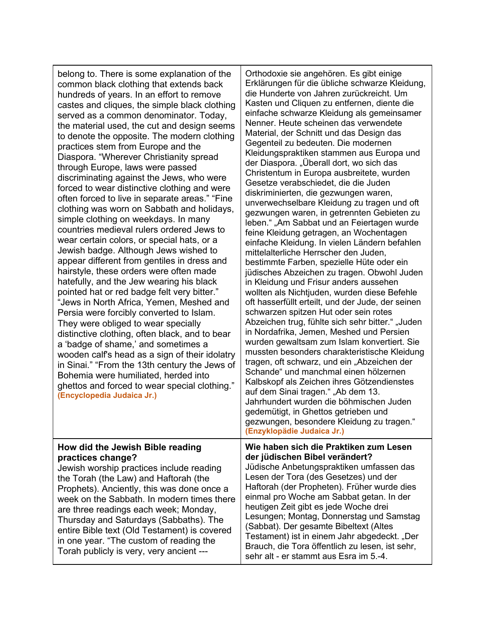| belong to. There is some explanation of the<br>common black clothing that extends back<br>hundreds of years. In an effort to remove<br>castes and cliques, the simple black clothing<br>served as a common denominator. Today,<br>the material used, the cut and design seems<br>to denote the opposite. The modern clothing<br>practices stem from Europe and the<br>Diaspora. "Wherever Christianity spread<br>through Europe, laws were passed<br>discriminating against the Jews, who were<br>forced to wear distinctive clothing and were<br>often forced to live in separate areas." "Fine<br>clothing was worn on Sabbath and holidays,<br>simple clothing on weekdays. In many<br>countries medieval rulers ordered Jews to<br>wear certain colors, or special hats, or a<br>Jewish badge. Although Jews wished to<br>appear different from gentiles in dress and<br>hairstyle, these orders were often made<br>hatefully, and the Jew wearing his black<br>pointed hat or red badge felt very bitter."<br>"Jews in North Africa, Yemen, Meshed and<br>Persia were forcibly converted to Islam.<br>They were obliged to wear specially<br>distinctive clothing, often black, and to bear<br>a 'badge of shame,' and sometimes a<br>wooden calf's head as a sign of their idolatry<br>in Sinai." "From the 13th century the Jews of<br>Bohemia were humiliated, herded into<br>ghettos and forced to wear special clothing."<br>(Encyclopedia Judaica Jr.) | Orthodoxie sie angehören. Es gibt einige<br>Erklärungen für die übliche schwarze Kleidung,<br>die Hunderte von Jahren zurückreicht. Um<br>Kasten und Cliquen zu entfernen, diente die<br>einfache schwarze Kleidung als gemeinsamer<br>Nenner. Heute scheinen das verwendete<br>Material, der Schnitt und das Design das<br>Gegenteil zu bedeuten. Die modernen<br>Kleidungspraktiken stammen aus Europa und<br>der Diaspora. "Überall dort, wo sich das<br>Christentum in Europa ausbreitete, wurden<br>Gesetze verabschiedet, die die Juden<br>diskriminierten, die gezwungen waren,<br>unverwechselbare Kleidung zu tragen und oft<br>gezwungen waren, in getrennten Gebieten zu<br>leben." "Am Sabbat und an Feiertagen wurde<br>feine Kleidung getragen, an Wochentagen<br>einfache Kleidung. In vielen Ländern befahlen<br>mittelalterliche Herrscher den Juden,<br>bestimmte Farben, spezielle Hüte oder ein<br>jüdisches Abzeichen zu tragen. Obwohl Juden<br>in Kleidung und Frisur anders aussehen<br>wollten als Nichtjuden, wurden diese Befehle<br>oft hasserfüllt erteilt, und der Jude, der seinen<br>schwarzen spitzen Hut oder sein rotes<br>Abzeichen trug, fühlte sich sehr bitter." "Juden<br>in Nordafrika, Jemen, Meshed und Persien<br>wurden gewaltsam zum Islam konvertiert. Sie<br>mussten besonders charakteristische Kleidung<br>tragen, oft schwarz, und ein "Abzeichen der<br>Schande" und manchmal einen hölzernen<br>Kalbskopf als Zeichen ihres Götzendienstes<br>auf dem Sinai tragen." "Ab dem 13.<br>Jahrhundert wurden die böhmischen Juden<br>gedemütigt, in Ghettos getrieben und<br>gezwungen, besondere Kleidung zu tragen.<br>(Enzyklopädie Judaica Jr.) |
|-------------------------------------------------------------------------------------------------------------------------------------------------------------------------------------------------------------------------------------------------------------------------------------------------------------------------------------------------------------------------------------------------------------------------------------------------------------------------------------------------------------------------------------------------------------------------------------------------------------------------------------------------------------------------------------------------------------------------------------------------------------------------------------------------------------------------------------------------------------------------------------------------------------------------------------------------------------------------------------------------------------------------------------------------------------------------------------------------------------------------------------------------------------------------------------------------------------------------------------------------------------------------------------------------------------------------------------------------------------------------------------------------------------------------------------------------------------------|----------------------------------------------------------------------------------------------------------------------------------------------------------------------------------------------------------------------------------------------------------------------------------------------------------------------------------------------------------------------------------------------------------------------------------------------------------------------------------------------------------------------------------------------------------------------------------------------------------------------------------------------------------------------------------------------------------------------------------------------------------------------------------------------------------------------------------------------------------------------------------------------------------------------------------------------------------------------------------------------------------------------------------------------------------------------------------------------------------------------------------------------------------------------------------------------------------------------------------------------------------------------------------------------------------------------------------------------------------------------------------------------------------------------------------------------------------------------------------------------------------------------------------------------------------------------------------------------------------------------------------------------------------------------------------------------------|
| How did the Jewish Bible reading<br>practices change?<br>Jewish worship practices include reading<br>the Torah (the Law) and Haftorah (the<br>Prophets). Anciently, this was done once a                                                                                                                                                                                                                                                                                                                                                                                                                                                                                                                                                                                                                                                                                                                                                                                                                                                                                                                                                                                                                                                                                                                                                                                                                                                                          | Wie haben sich die Praktiken zum Lesen<br>der jüdischen Bibel verändert?<br>Jüdische Anbetungspraktiken umfassen das<br>Lesen der Tora (des Gesetzes) und der<br>Haftorah (der Propheten). Früher wurde dies                                                                                                                                                                                                                                                                                                                                                                                                                                                                                                                                                                                                                                                                                                                                                                                                                                                                                                                                                                                                                                                                                                                                                                                                                                                                                                                                                                                                                                                                                       |

week on the Sabbath. In modern times there are three readings each week; Monday, Thursday and Saturdays (Sabbaths). The entire Bible text (Old Testament) is covered in one year. "The custom of reading the Torah publicly is very, very ancient ---

wurden die böhmischen Juden n Ghettos getrieben und besondere Kleidung zu tragen." **(Enginator Jr.) Wie haben sich die Praktiken zum Lesen der jüdischen Bibel verändert?** betungspraktiken umfassen das ora (des Gesetzes) und der r Propheten). Früher wurde dies einmal pro Woche am Sabbat getan. In der heutigen Zeit gibt es jede Woche drei Lesungen; Montag, Donnerstag und Samstag (Sabbat). Der gesamte Bibeltext (Altes Testament) ist in einem Jahr abgedeckt. "Der Brauch, die Tora öffentlich zu lesen, ist sehr, sehr alt - er stammt aus Esra im 5.-4.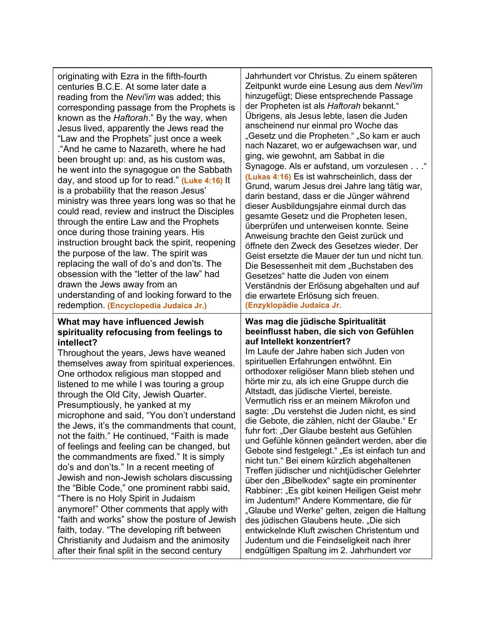originating with Ezra in the fifth-fourth centuries B.C.E. At some later date a reading from the *Nevi'im* was added; this corresponding passage from the Prophets is known as the *Haftorah*." By the way, when Jesus lived, apparently the Jews read the "Law and the Prophets" just once a week ."And he came to Nazareth, where he had been brought up: and, as his custom was, he went into the synagogue on the Sabbath day, and stood up for to read." **(Luke 4:16)** It is a probability that the reason Jesus' ministry was three years long was so that he could read, review and instruct the Disciples through the entire Law and the Prophets once during those training years. His instruction brought back the spirit, reopening the purpose of the law. The spirit was replacing the wall of do's and don'ts. The obsession with the "letter of the law" had drawn the Jews away from an understanding of and looking forward to the redemption. **(Encyclopedia Judaica Jr.)**

#### **What may have influenced Jewish spirituality refocusing from feelings to intellect?**

Throughout the years, Jews have weaned themselves away from spiritual experiences. One orthodox religious man stopped and listened to me while I was touring a group through the Old City, Jewish Quarter. Presumptiously, he yanked at my microphone and said, "You don't understand the Jews, it's the commandments that count, not the faith." He continued, "Faith is made of feelings and feeling can be changed, but the commandments are fixed." It is simply do's and don'ts." In a recent meeting of Jewish and non-Jewish scholars discussing the "Bible Code," one prominent rabbi said, "There is no Holy Spirit in Judaism anymore!" Other comments that apply with "faith and works" show the posture of Jewish faith, today. "The developing rift between Christianity and Judaism and the animosity after their final split in the second century

Jahrhundert vor Christus. Zu einem späteren Zeitpunkt wurde eine Lesung aus dem *Nevi'im* hinzugefügt; Diese entsprechende Passage der Propheten ist als *Haftorah* bekannt." Übrigens, als Jesus lebte, lasen die Juden anscheinend nur einmal pro Woche das "Gesetz und die Propheten." "So kam er auch nach Nazaret, wo er aufgewachsen war, und ging, wie gewohnt, am Sabbat in die Synagoge. Als er aufstand, um vorzulesen . . ." **(Lukas 4:16)** Es ist wahrscheinlich, dass der Grund, warum Jesus drei Jahre lang tätig war, darin bestand, dass er die Jünger während dieser Ausbildungsjahre einmal durch das gesamte Gesetz und die Propheten lesen, überprüfen und unterweisen konnte. Seine Anweisung brachte den Geist zurück und öffnete den Zweck des Gesetzes wieder. Der Geist ersetzte die Mauer der tun und nicht tun. Die Besessenheit mit dem "Buchstaben des Gesetzes" hatte die Juden von einem Verständnis der Erlösung abgehalten und auf die erwartete Erlösung sich freuen. **(Enzyklopädie Judaica Jr.**

#### **Was mag die jüdische Spiritualität beeinflusst haben, die sich von Gefühlen auf Intellekt konzentriert?**

Im Laufe der Jahre haben sich Juden von spirituellen Erfahrungen entwöhnt. Ein orthodoxer religiöser Mann blieb stehen und hörte mir zu, als ich eine Gruppe durch die Altstadt, das jüdische Viertel, bereiste. Vermutlich riss er an meinem Mikrofon und sagte: "Du verstehst die Juden nicht, es sind die Gebote, die zählen, nicht der Glaube." Er fuhr fort: "Der Glaube besteht aus Gefühlen und Gefühle können geändert werden, aber die Gebote sind festgelegt." "Es ist einfach tun and nicht tun." Bei einem kürzlich abgehaltenen Treffen jüdischer und nichtjüdischer Gelehrter über den "Bibelkodex" sagte ein prominenter Rabbiner: "Es gibt keinen Heiligen Geist mehr im Judentum!" Andere Kommentare, die für "Glaube und Werke" gelten, zeigen die Haltung des jüdischen Glaubens heute. "Die sich entwickelnde Kluft zwischen Christentum und Judentum und die Feindseligkeit nach ihrer endgültigen Spaltung im 2. Jahrhundert vor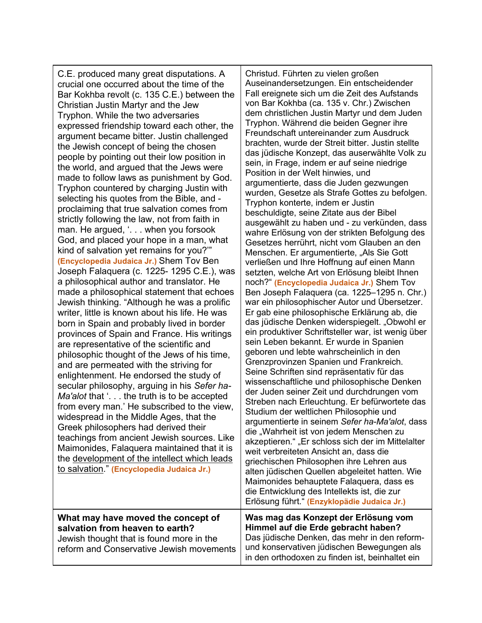C.E. produced many great disputations. A crucial one occurred about the time of the Bar Kokhba revolt (c. 135 C.E.) between the Christian Justin Martyr and the Jew Tryphon. While the two adversaries expressed friendship toward each other, the argument became bitter. Justin challenged the Jewish concept of being the chosen people by pointing out their low position in the world, and argued that the Jews were made to follow laws as punishment by God. Tryphon countered by charging Justin with selecting his quotes from the Bible, and proclaiming that true salvation comes from strictly following the law, not from faith in man. He argued, '... when you forsook God, and placed your hope in a man, what kind of salvation yet remains for you?'" **(Encyclopedia Judaica Jr.)** Shem Tov Ben Joseph Falaquera (c. 1225- 1295 C.E.), was a philosophical author and translator. He made a philosophical statement that echoes Jewish thinking. "Although he was a prolific writer, little is known about his life. He was born in Spain and probably lived in border provinces of Spain and France. His writings are representative of the scientific and philosophic thought of the Jews of his time, and are permeated with the striving for enlightenment. He endorsed the study of secular philosophy, arguing in his *Sefer ha-Ma'alot* that '. . . the truth is to be accepted from every man.' He subscribed to the view, widespread in the Middle Ages, that the Greek philosophers had derived their teachings from ancient Jewish sources. Like Maimonides, Falaquera maintained that it is the development of the intellect which leads to salvation." **(Encyclopedia Judaica Jr.)**

Christud. Führten zu vielen großen Auseinandersetzungen. Ein entscheidender Fall ereignete sich um die Zeit des Aufstands von Bar Kokhba (ca. 135 v. Chr.) Zwischen dem christlichen Justin Martyr und dem Juden Tryphon. Während die beiden Gegner ihre Freundschaft untereinander zum Ausdruck brachten, wurde der Streit bitter. Justin stellte das jüdische Konzept, das auserwählte Volk zu sein, in Frage, indem er auf seine niedrige Position in der Welt hinwies, und argumentierte, dass die Juden gezwungen wurden, Gesetze als Strafe Gottes zu befolgen. Tryphon konterte, indem er Justin beschuldigte, seine Zitate aus der Bibel ausgewählt zu haben und - zu verkünden, dass wahre Erlösung von der strikten Befolgung des Gesetzes herrührt, nicht vom Glauben an den Menschen. Er argumentierte, "Als Sie Gott verließen und Ihre Hoffnung auf einen Mann setzten, welche Art von Erlösung bleibt Ihnen noch?" **(Encyclopedia Judaica Jr.)** Shem Tov Ben Joseph Falaquera (ca. 1225–1295 n. Chr.) war ein philosophischer Autor und Übersetzer. Er gab eine philosophische Erklärung ab, die das jüdische Denken widerspiegelt. "Obwohl er ein produktiver Schriftsteller war, ist wenig über sein Leben bekannt. Er wurde in Spanien geboren und lebte wahrscheinlich in den Grenzprovinzen Spanien und Frankreich. Seine Schriften sind repräsentativ für das wissenschaftliche und philosophische Denken der Juden seiner Zeit und durchdrungen vom Streben nach Erleuchtung. Er befürwortete das Studium der weltlichen Philosophie und argumentierte in seinem *Sefer ha-Ma'alot*, dass die "Wahrheit ist von jedem Menschen zu akzeptieren." "Er schloss sich der im Mittelalter weit verbreiteten Ansicht an, dass die griechischen Philosophen ihre Lehren aus alten jüdischen Quellen abgeleitet hatten. Wie Maimonides behauptete Falaquera, dass es die Entwicklung des Intellekts ist, die zur Erlösung führt." **(Enzyklopädie Judaica Jr.)**

**What may have moved the concept of salvation from heaven to earth?** Jewish thought that is found more in the reform and Conservative Jewish movements **Was mag das Konzept der Erlösung vom Himmel auf die Erde gebracht haben?** Das jüdische Denken, das mehr in den reformund konservativen jüdischen Bewegungen als in den orthodoxen zu finden ist, beinhaltet ein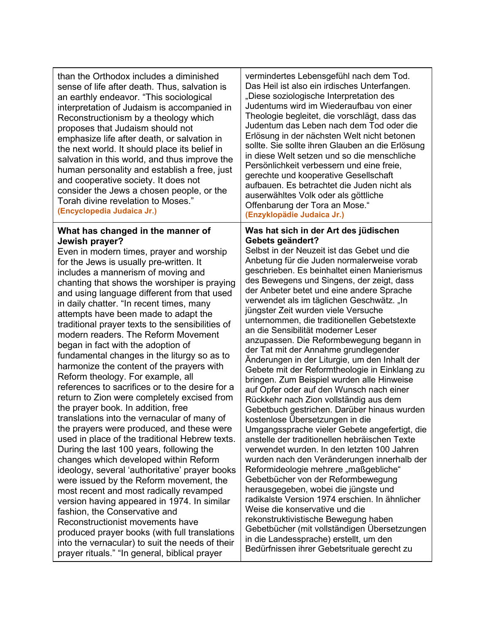| than the Orthodox includes a diminished<br>sense of life after death. Thus, salvation is<br>an earthly endeavor. "This sociological<br>interpretation of Judaism is accompanied in<br>Reconstructionism by a theology which<br>proposes that Judaism should not<br>emphasize life after death, or salvation in<br>the next world. It should place its belief in<br>salvation in this world, and thus improve the<br>human personality and establish a free, just<br>and cooperative society. It does not<br>consider the Jews a chosen people, or the<br>Torah divine revelation to Moses."<br>(Encyclopedia Judaica Jr.)                                                                                                                                                                                                                                                                                                                                                                                                                                                                                                                                                                                                                                                                                                                                                                                                         | vermindertes Lebensgefühl nach dem Tod.<br>Das Heil ist also ein irdisches Unterfangen.<br>"Diese soziologische Interpretation des<br>Judentums wird im Wiederaufbau von einer<br>Theologie begleitet, die vorschlägt, dass das<br>Judentum das Leben nach dem Tod oder die<br>Erlösung in der nächsten Welt nicht betonen<br>sollte. Sie sollte ihren Glauben an die Erlösung<br>in diese Welt setzen und so die menschliche<br>Persönlichkeit verbessern und eine freie,<br>gerechte und kooperative Gesellschaft<br>aufbauen. Es betrachtet die Juden nicht als<br>auserwähltes Volk oder als göttliche<br>Offenbarung der Tora an Mose."<br>(Enzyklopädie Judaica Jr.)                                                                                                                                                                                                                                                                                                                                                                                                                                                                                                                                                                                                                                                                                                                                                                                                         |
|-----------------------------------------------------------------------------------------------------------------------------------------------------------------------------------------------------------------------------------------------------------------------------------------------------------------------------------------------------------------------------------------------------------------------------------------------------------------------------------------------------------------------------------------------------------------------------------------------------------------------------------------------------------------------------------------------------------------------------------------------------------------------------------------------------------------------------------------------------------------------------------------------------------------------------------------------------------------------------------------------------------------------------------------------------------------------------------------------------------------------------------------------------------------------------------------------------------------------------------------------------------------------------------------------------------------------------------------------------------------------------------------------------------------------------------|------------------------------------------------------------------------------------------------------------------------------------------------------------------------------------------------------------------------------------------------------------------------------------------------------------------------------------------------------------------------------------------------------------------------------------------------------------------------------------------------------------------------------------------------------------------------------------------------------------------------------------------------------------------------------------------------------------------------------------------------------------------------------------------------------------------------------------------------------------------------------------------------------------------------------------------------------------------------------------------------------------------------------------------------------------------------------------------------------------------------------------------------------------------------------------------------------------------------------------------------------------------------------------------------------------------------------------------------------------------------------------------------------------------------------------------------------------------------------------|
| What has changed in the manner of<br>Jewish prayer?<br>Even in modern times, prayer and worship<br>for the Jews is usually pre-written. It<br>includes a mannerism of moving and<br>chanting that shows the worshiper is praying<br>and using language different from that used<br>in daily chatter. "In recent times, many<br>attempts have been made to adapt the<br>traditional prayer texts to the sensibilities of<br>modern readers. The Reform Movement<br>began in fact with the adoption of<br>fundamental changes in the liturgy so as to<br>harmonize the content of the prayers with<br>Reform theology. For example, all<br>references to sacrifices or to the desire for a<br>return to Zion were completely excised from<br>the prayer book. In addition, free<br>translations into the vernacular of many of<br>the prayers were produced, and these were<br>used in place of the traditional Hebrew texts.<br>During the last 100 years, following the<br>changes which developed within Reform<br>ideology, several 'authoritative' prayer books<br>were issued by the Reform movement, the<br>most recent and most radically revamped<br>version having appeared in 1974. In similar<br>fashion, the Conservative and<br>Reconstructionist movements have<br>produced prayer books (with full translations<br>into the vernacular) to suit the needs of their<br>prayer rituals." "In general, biblical prayer | Was hat sich in der Art des jüdischen<br>Gebets geändert?<br>Selbst in der Neuzeit ist das Gebet und die<br>Anbetung für die Juden normalerweise vorab<br>geschrieben. Es beinhaltet einen Manierismus<br>des Bewegens und Singens, der zeigt, dass<br>der Anbeter betet und eine andere Sprache<br>verwendet als im täglichen Geschwätz. "In<br>jüngster Zeit wurden viele Versuche<br>unternommen, die traditionellen Gebetstexte<br>an die Sensibilität moderner Leser<br>anzupassen. Die Reformbewegung begann in<br>der Tat mit der Annahme grundlegender<br>Änderungen in der Liturgie, um den Inhalt der<br>Gebete mit der Reformtheologie in Einklang zu<br>bringen. Zum Beispiel wurden alle Hinweise<br>auf Opfer oder auf den Wunsch nach einer<br>Rückkehr nach Zion vollständig aus dem<br>Gebetbuch gestrichen. Darüber hinaus wurden<br>kostenlose Übersetzungen in die<br>Umgangssprache vieler Gebete angefertigt, die<br>anstelle der traditionellen hebräischen Texte<br>verwendet wurden. In den letzten 100 Jahren<br>wurden nach den Veränderungen innerhalb der<br>Reformideologie mehrere "maßgebliche"<br>Gebetbücher von der Reformbewegung<br>herausgegeben, wobei die jüngste und<br>radikalste Version 1974 erschien. In ähnlicher<br>Weise die konservative und die<br>rekonstruktivistische Bewegung haben<br>Gebetbücher (mit vollständigen Übersetzungen<br>in die Landessprache) erstellt, um den<br>Bedürfnissen ihrer Gebetsrituale gerecht zu |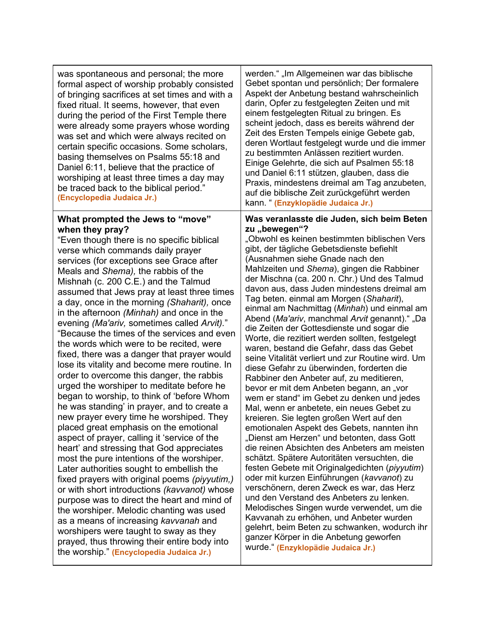| was spontaneous and personal; the more<br>formal aspect of worship probably consisted<br>of bringing sacrifices at set times and with a<br>fixed ritual. It seems, however, that even<br>during the period of the First Temple there<br>were already some prayers whose wording<br>was set and which were always recited on<br>certain specific occasions. Some scholars,<br>basing themselves on Psalms 55:18 and<br>Daniel 6:11, believe that the practice of<br>worshiping at least three times a day may<br>be traced back to the biblical period."<br>(Encyclopedia Judaica Jr.)                                                                                                                                                                                                                                                                                                                                                                                                                                                                                                                                                                                                                                                                                                                                                                                                                                                                                                                  | werden." "Im Allgemeinen war das biblische<br>Gebet spontan und persönlich; Der formalere<br>Aspekt der Anbetung bestand wahrscheinlich<br>darin, Opfer zu festgelegten Zeiten und mit<br>einem festgelegten Ritual zu bringen. Es<br>scheint jedoch, dass es bereits während der<br>Zeit des Ersten Tempels einige Gebete gab,<br>deren Wortlaut festgelegt wurde und die immer<br>zu bestimmten Anlässen rezitiert wurden.<br>Einige Gelehrte, die sich auf Psalmen 55:18<br>und Daniel 6:11 stützen, glauben, dass die<br>Praxis, mindestens dreimal am Tag anzubeten,<br>auf die biblische Zeit zurückgeführt werden<br>kann. " (Enzyklopädie Judaica Jr.)                                                                                                                                                                                                                                                                                                                                                                                                                                                                                                                                                                                                                                                                                                                                                                                                                                                                                                                    |
|--------------------------------------------------------------------------------------------------------------------------------------------------------------------------------------------------------------------------------------------------------------------------------------------------------------------------------------------------------------------------------------------------------------------------------------------------------------------------------------------------------------------------------------------------------------------------------------------------------------------------------------------------------------------------------------------------------------------------------------------------------------------------------------------------------------------------------------------------------------------------------------------------------------------------------------------------------------------------------------------------------------------------------------------------------------------------------------------------------------------------------------------------------------------------------------------------------------------------------------------------------------------------------------------------------------------------------------------------------------------------------------------------------------------------------------------------------------------------------------------------------|-----------------------------------------------------------------------------------------------------------------------------------------------------------------------------------------------------------------------------------------------------------------------------------------------------------------------------------------------------------------------------------------------------------------------------------------------------------------------------------------------------------------------------------------------------------------------------------------------------------------------------------------------------------------------------------------------------------------------------------------------------------------------------------------------------------------------------------------------------------------------------------------------------------------------------------------------------------------------------------------------------------------------------------------------------------------------------------------------------------------------------------------------------------------------------------------------------------------------------------------------------------------------------------------------------------------------------------------------------------------------------------------------------------------------------------------------------------------------------------------------------------------------------------------------------------------------------------|
| What prompted the Jews to "move"<br>when they pray?<br>"Even though there is no specific biblical<br>verse which commands daily prayer<br>services (for exceptions see Grace after<br>Meals and Shema), the rabbis of the<br>Mishnah (c. 200 C.E.) and the Talmud<br>assumed that Jews pray at least three times<br>a day, once in the morning (Shaharit), once<br>in the afternoon (Minhah) and once in the<br>evening (Ma'ariv, sometimes called Arvit)."<br>"Because the times of the services and even<br>the words which were to be recited, were<br>fixed, there was a danger that prayer would<br>lose its vitality and become mere routine. In<br>order to overcome this danger, the rabbis<br>urged the worshiper to meditate before he<br>began to worship, to think of 'before Whom<br>he was standing' in prayer, and to create a<br>new prayer every time he worshiped. They<br>placed great emphasis on the emotional<br>aspect of prayer, calling it 'service of the<br>heart' and stressing that God appreciates<br>most the pure intentions of the worshiper.<br>Later authorities sought to embellish the<br>fixed prayers with original poems (piyyutim,)<br>or with short introductions (kavvanot) whose<br>purpose was to direct the heart and mind of<br>the worshiper. Melodic chanting was used<br>as a means of increasing kavvanah and<br>worshipers were taught to sway as they<br>prayed, thus throwing their entire body into<br>the worship." (Encyclopedia Judaica Jr.) | Was veranlasste die Juden, sich beim Beten<br>zu "bewegen"?<br>"Obwohl es keinen bestimmten biblischen Vers<br>gibt, der tägliche Gebetsdienste befiehlt<br>(Ausnahmen siehe Gnade nach den<br>Mahlzeiten und Shema), gingen die Rabbiner<br>der Mischna (ca. 200 n. Chr.) Und des Talmud<br>davon aus, dass Juden mindestens dreimal am<br>Tag beten. einmal am Morgen (Shaharit),<br>einmal am Nachmittag (Minhah) und einmal am<br>Abend (Ma'ariv, manchmal Arvit genannt)." "Da<br>die Zeiten der Gottesdienste und sogar die<br>Worte, die rezitiert werden sollten, festgelegt<br>waren, bestand die Gefahr, dass das Gebet<br>seine Vitalität verliert und zur Routine wird. Um<br>diese Gefahr zu überwinden, forderten die<br>Rabbiner den Anbeter auf, zu meditieren,<br>bevor er mit dem Anbeten begann, an "vor<br>wem er stand" im Gebet zu denken und jedes<br>Mal, wenn er anbetete, ein neues Gebet zu<br>kreieren. Sie legten großen Wert auf den<br>emotionalen Aspekt des Gebets, nannten ihn<br>"Dienst am Herzen" und betonten, dass Gott<br>die reinen Absichten des Anbeters am meisten<br>schätzt. Spätere Autoritäten versuchten, die<br>festen Gebete mit Originalgedichten (piyyutim)<br>oder mit kurzen Einführungen (kavvanot) zu<br>verschönern, deren Zweck es war, das Herz<br>und den Verstand des Anbeters zu lenken.<br>Melodisches Singen wurde verwendet, um die<br>Kavvanah zu erhöhen, und Anbeter wurden<br>gelehrt, beim Beten zu schwanken, wodurch ihr<br>ganzer Körper in die Anbetung geworfen<br>wurde." (Enzyklopädie Judaica Jr.) |
|                                                                                                                                                                                                                                                                                                                                                                                                                                                                                                                                                                                                                                                                                                                                                                                                                                                                                                                                                                                                                                                                                                                                                                                                                                                                                                                                                                                                                                                                                                        |                                                                                                                                                                                                                                                                                                                                                                                                                                                                                                                                                                                                                                                                                                                                                                                                                                                                                                                                                                                                                                                                                                                                                                                                                                                                                                                                                                                                                                                                                                                                                                                   |